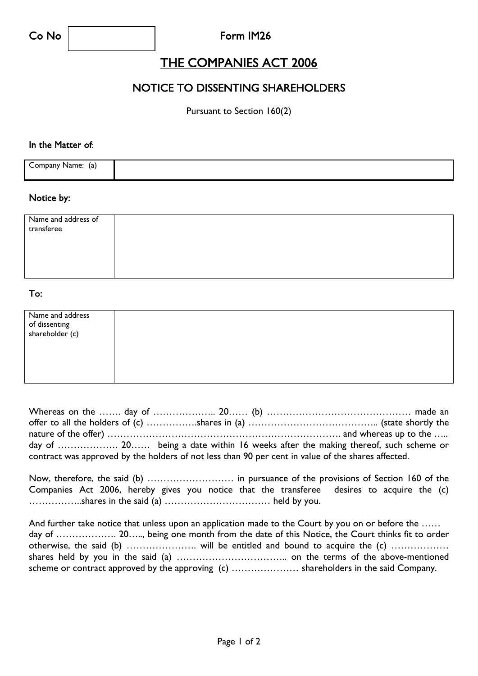### Co No Form IM26

## THE COMPANIES ACT 2006

## NOTICE TO DISSENTING SHAREHOLDERS

Pursuant to Section 160(2)

#### In the Matter of:

| Company Name: (a) |  |
|-------------------|--|
|                   |  |

#### Notice by:

| Name and address of<br>transferee |  |  |  |
|-----------------------------------|--|--|--|
|                                   |  |  |  |
|                                   |  |  |  |

#### To:

| Name and address                 |  |  |
|----------------------------------|--|--|
| of dissenting<br>shareholder (c) |  |  |
|                                  |  |  |
|                                  |  |  |
|                                  |  |  |
|                                  |  |  |
|                                  |  |  |
|                                  |  |  |
|                                  |  |  |

|                                                                                                    |  | day of  20 being a date within 16 weeks after the making thereof, such scheme or |
|----------------------------------------------------------------------------------------------------|--|----------------------------------------------------------------------------------|
| contract was approved by the holders of not less than 90 per cent in value of the shares affected. |  |                                                                                  |

|  |  |  |  | Companies Act 2006, hereby gives you notice that the transferee desires to acquire the (c) |  |  |  |
|--|--|--|--|--------------------------------------------------------------------------------------------|--|--|--|
|  |  |  |  |                                                                                            |  |  |  |

And further take notice that unless upon an application made to the Court by you on or before the ...... day of ………………. 20….., being one month from the date of this Notice, the Court thinks fit to order otherwise, the said (b) …………………. will be entitled and bound to acquire the (c) ……………… shares held by you in the said (a) …………………………….. on the terms of the above-mentioned scheme or contract approved by the approving (c) ………………… shareholders in the said Company.